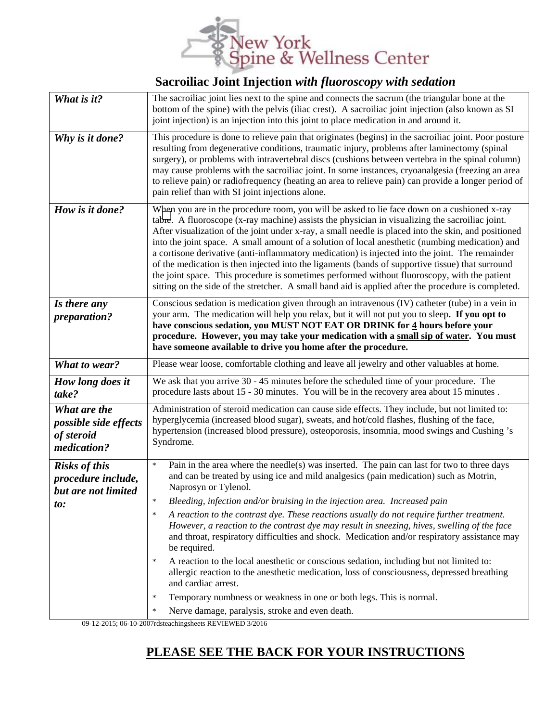

## **Sacroiliac Joint Injection** *with fluoroscopy with sedation*

| What is it?                                                              | The sacroiliac joint lies next to the spine and connects the sacrum (the triangular bone at the<br>bottom of the spine) with the pelvis (iliac crest). A sacroiliac joint injection (also known as SI<br>joint injection) is an injection into this joint to place medication in and around it.                                                                                                                                                                                                                                                                                                                                                                                                                                                                                                                                                                                                                                         |
|--------------------------------------------------------------------------|-----------------------------------------------------------------------------------------------------------------------------------------------------------------------------------------------------------------------------------------------------------------------------------------------------------------------------------------------------------------------------------------------------------------------------------------------------------------------------------------------------------------------------------------------------------------------------------------------------------------------------------------------------------------------------------------------------------------------------------------------------------------------------------------------------------------------------------------------------------------------------------------------------------------------------------------|
| Why is it done?                                                          | This procedure is done to relieve pain that originates (begins) in the sacroiliac joint. Poor posture<br>resulting from degenerative conditions, traumatic injury, problems after laminectomy (spinal<br>surgery), or problems with intravertebral discs (cushions between vertebra in the spinal column)<br>may cause problems with the sacroiliac joint. In some instances, cryoanalgesia (freezing an area<br>to relieve pain) or radiofrequency (heating an area to relieve pain) can provide a longer period of<br>pain relief than with SI joint injections alone.                                                                                                                                                                                                                                                                                                                                                                |
| How is it done?                                                          | When you are in the procedure room, you will be asked to lie face down on a cushioned x-ray<br>tabre. A fluoroscope (x-ray machine) assists the physician in visualizing the sacroiliac joint.<br>After visualization of the joint under x-ray, a small needle is placed into the skin, and positioned<br>into the joint space. A small amount of a solution of local anesthetic (numbing medication) and<br>a cortisone derivative (anti-inflammatory medication) is injected into the joint. The remainder<br>of the medication is then injected into the ligaments (bands of supportive tissue) that surround<br>the joint space. This procedure is sometimes performed without fluoroscopy, with the patient<br>sitting on the side of the stretcher. A small band aid is applied after the procedure is completed.                                                                                                                 |
| Is there any<br>preparation?                                             | Conscious sedation is medication given through an intravenous (IV) catheter (tube) in a vein in<br>your arm. The medication will help you relax, but it will not put you to sleep. If you opt to<br>have conscious sedation, you MUST NOT EAT OR DRINK for 4 hours before your<br>procedure. However, you may take your medication with a small sip of water. You must<br>have someone available to drive you home after the procedure.                                                                                                                                                                                                                                                                                                                                                                                                                                                                                                 |
| What to wear?                                                            | Please wear loose, comfortable clothing and leave all jewelry and other valuables at home.                                                                                                                                                                                                                                                                                                                                                                                                                                                                                                                                                                                                                                                                                                                                                                                                                                              |
| How long does it<br>take?                                                | We ask that you arrive 30 - 45 minutes before the scheduled time of your procedure. The<br>procedure lasts about 15 - 30 minutes. You will be in the recovery area about 15 minutes.                                                                                                                                                                                                                                                                                                                                                                                                                                                                                                                                                                                                                                                                                                                                                    |
| What are the<br>possible side effects<br>of steroid<br>medication?       | Administration of steroid medication can cause side effects. They include, but not limited to:<br>hyperglycemia (increased blood sugar), sweats, and hot/cold flashes, flushing of the face,<br>hypertension (increased blood pressure), osteoporosis, insomnia, mood swings and Cushing's<br>Syndrome.                                                                                                                                                                                                                                                                                                                                                                                                                                                                                                                                                                                                                                 |
| <b>Risks of this</b><br>procedure include,<br>but are not limited<br>to: | $\star$<br>Pain in the area where the needle(s) was inserted. The pain can last for two to three days<br>and can be treated by using ice and mild analgesics (pain medication) such as Motrin,<br>Naprosyn or Tylenol.<br>Bleeding, infection and/or bruising in the injection area. Increased pain<br>A reaction to the contrast dye. These reactions usually do not require further treatment.<br>$\star$<br>However, a reaction to the contrast dye may result in sneezing, hives, swelling of the face<br>and throat, respiratory difficulties and shock. Medication and/or respiratory assistance may<br>be required.<br>A reaction to the local anesthetic or conscious sedation, including but not limited to:<br>$\star$<br>allergic reaction to the anesthetic medication, loss of consciousness, depressed breathing<br>and cardiac arrest.<br>Temporary numbness or weakness in one or both legs. This is normal.<br>$\star$ |
|                                                                          | Nerve damage, paralysis, stroke and even death.<br>$\star$                                                                                                                                                                                                                                                                                                                                                                                                                                                                                                                                                                                                                                                                                                                                                                                                                                                                              |

09-12-2015; 06-10-2007rdsteachingsheets REVIEWED 3/2016

## **PLEASE SEE THE BACK FOR YOUR INSTRUCTIONS**